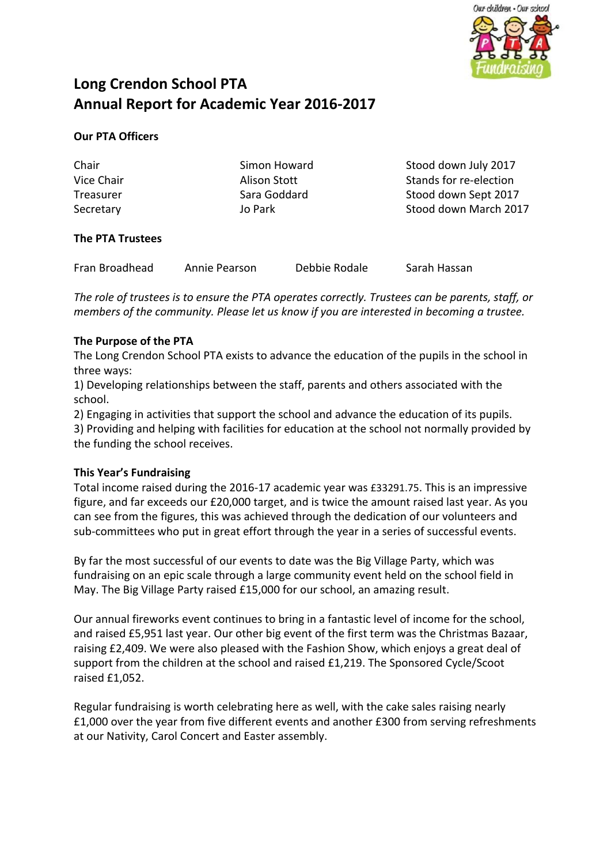

# **Long Crendon School PTA Annual Report for Academic Year 2016-2017**

# **Our PTA Officers**

Chair Vice Chair **Treasurer** Secretary

Simon Howard Alison Stott Sara Goddard Jo Park

Stood down July 2017 Stands for re-election Stood down Sept 2017 Stood down March 2017

# **The PTA Trustees**

Fran Broadhead Annie Pearson Debbie Rodale Sarah Hassan

*The role of trustees is to ensure the PTA operates correctly. Trustees can be parents, staff, or members of the community. Please let us know if you are interested in becoming a trustee.*

### **The Purpose of the PTA**

The Long Crendon School PTA exists to advance the education of the pupils in the school in three ways:

1) Developing relationships between the staff, parents and others associated with the school.

2) Engaging in activities that support the school and advance the education of its pupils.

3) Providing and helping with facilities for education at the school not normally provided by the funding the school receives.

#### **This Year's Fundraising**

Total income raised during the 2016-17 academic year was £33291.75. This is an impressive figure, and far exceeds our £20,000 target, and is twice the amount raised last year. As you can see from the figures, this was achieved through the dedication of our volunteers and sub-committees who put in great effort through the year in a series of successful events.

By far the most successful of our events to date was the Big Village Party, which was fundraising on an epic scale through a large community event held on the school field in May. The Big Village Party raised £15,000 for our school, an amazing result.

Our annual fireworks event continues to bring in a fantastic level of income for the school, and raised £5,951 last year. Our other big event of the first term was the Christmas Bazaar, raising £2,409. We were also pleased with the Fashion Show, which enjoys a great deal of support from the children at the school and raised £1,219. The Sponsored Cycle/Scoot raised £1,052.

Regular fundraising is worth celebrating here as well, with the cake sales raising nearly £1,000 over the year from five different events and another £300 from serving refreshments at our Nativity, Carol Concert and Easter assembly.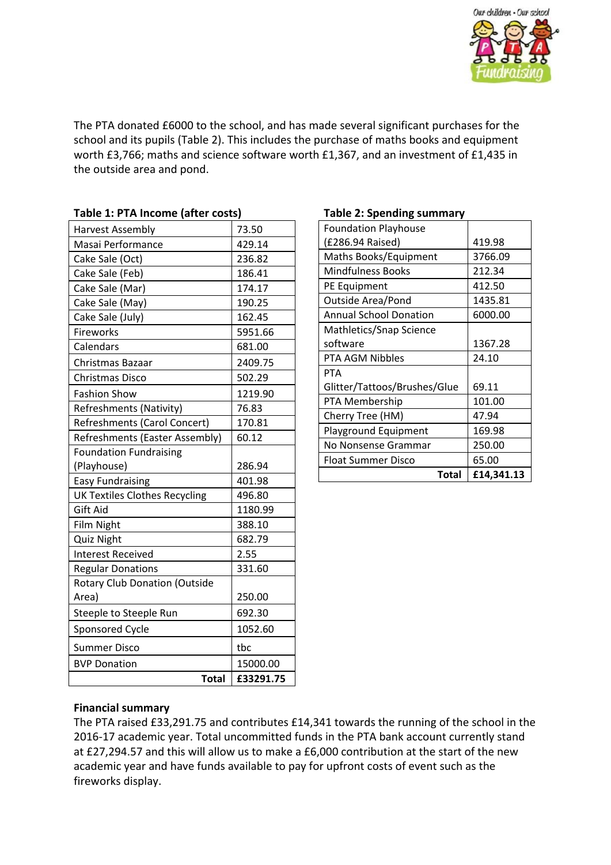

The PTA donated £6000 to the school, and has made several significant purchases for the school and its pupils (Table 2). This includes the purchase of maths books and equipment worth £3,766; maths and science software worth £1,367, and an investment of £1,435 in the outside area and pond.

| avic 1. TH income farter costs)      |           |
|--------------------------------------|-----------|
| <b>Harvest Assembly</b>              | 73.50     |
| Masai Performance                    | 429.14    |
| Cake Sale (Oct)                      | 236.82    |
| Cake Sale (Feb)                      | 186.41    |
| Cake Sale (Mar)                      | 174.17    |
| Cake Sale (May)                      | 190.25    |
| Cake Sale (July)                     | 162.45    |
| Fireworks                            | 5951.66   |
| Calendars                            | 681.00    |
| Christmas Bazaar                     | 2409.75   |
| Christmas Disco                      | 502.29    |
| <b>Fashion Show</b>                  | 1219.90   |
| Refreshments (Nativity)              | 76.83     |
| <b>Refreshments (Carol Concert)</b>  | 170.81    |
| Refreshments (Easter Assembly)       | 60.12     |
| <b>Foundation Fundraising</b>        |           |
| (Playhouse)                          | 286.94    |
| <b>Easy Fundraising</b>              | 401.98    |
| <b>UK Textiles Clothes Recycling</b> | 496.80    |
| Gift Aid                             | 1180.99   |
| Film Night                           | 388.10    |
| <b>Quiz Night</b>                    | 682.79    |
| <b>Interest Received</b>             | 2.55      |
| <b>Regular Donations</b>             | 331.60    |
| <b>Rotary Club Donation (Outside</b> |           |
| Area)                                | 250.00    |
| Steeple to Steeple Run               | 692.30    |
| Sponsored Cycle                      | 1052.60   |
| <b>Summer Disco</b>                  | tbc       |
| <b>BVP Donation</b>                  | 15000.00  |
| <b>Total</b>                         | £33291.75 |

## **Table 1: PTA Income (after costs)**

#### **Table 2: Spending summary**

| 419.98     |
|------------|
| 3766.09    |
| 212.34     |
| 412.50     |
| 1435.81    |
| 6000.00    |
|            |
| 1367.28    |
| 24.10      |
|            |
| 69.11      |
| 101.00     |
| 47.94      |
| 169.98     |
| 250.00     |
| 65.00      |
| £14,341.13 |
|            |

#### **Financial summary**

The PTA raised £33,291.75 and contributes £14,341 towards the running of the school in the 2016-17 academic year. Total uncommitted funds in the PTA bank account currently stand at £27,294.57 and this will allow us to make a £6,000 contribution at the start of the new academic year and have funds available to pay for upfront costs of event such as the fireworks display.